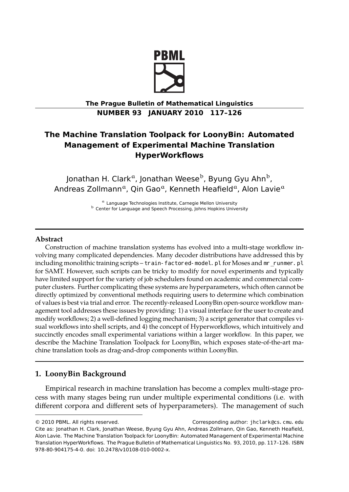

# **The Prague Bulletin of Mathematical Linguistics NUMBER 93 JANUARY 2010 117–126**

# **The Machine Translation Toolpack for LoonyBin: Automated Management of Experimental Machine Translation HyperWorkflows**

Jonathan H. Clark<sup>a</sup>, Jonathan Weese<sup>b</sup>, Byung Gyu Ahn<sup>b</sup>, Andreas Zollmann<sup>a</sup>, Qin Gao<sup>a</sup>, Kenneth Heafield<sup>a</sup>, Alon Lavie<sup>a</sup>

> <sup>a</sup> Language Technologies Institute, Carnegie Mellon University b Center for Language and Speech Processing, Johns Hopkins University

## **Abstract**

Construction of machine translation systems has evolved into a multi-stage workflow involving many complicated dependencies. Many decoder distributions have addressed this by including monolithic training scripts – train-factored-model.pl for Moses and mr\_runmer.pl for SAMT. However, such scripts can be tricky to modify for novel experiments and typically have limited support for the variety of job schedulers found on academic and commercial computer clusters. Further complicating these systems are hyperparameters, which often cannot be directly optimized by conventional methods requiring users to determine which combination of values is best via trial and error. The recently-released LoonyBin open-source workflow management tool addresses these issues by providing: 1) a visual interface for the user to create and modify workflows; 2) a well-defined logging mechanism; 3) a script generator that compiles visual workflows into shell scripts, and 4) the concept of Hyperworkflows, which intuitively and succinctly encodes small experimental variations within a larger workflow. In this paper, we describe the Machine Translation Toolpack for LoonyBin, which exposes state-of-the-art machine translation tools as drag-and-drop components within LoonyBin.

# **1. LoonyBin Background**

Empirical research in machine translation has become a complex multi-stage process with many stages being run under multiple experimental conditions (i.e. with different corpora and different sets of hyperparameters). The management of such

<sup>© 2010</sup> PBML. All rights reserved. Corresponding author: jhclark@cs.cmu.edu Cite as: Jonathan H. Clark, Jonathan Weese, Byung Gyu Ahn, Andreas Zollmann, Qin Gao, Kenneth Heafield, Alon Lavie. The Machine Translation Toolpack for LoonyBin: Automated Management of Experimental Machine Translation HyperWorkflows. The Prague Bulletin of Mathematical Linguistics No. 93, 2010, pp. 117–126. ISBN 978-80-904175-4-0. doi: 10.2478/v10108-010-0002-x.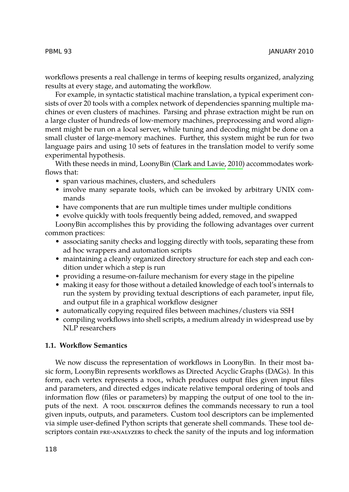118

PBML 93 JANUARY 2010

workflows presents a real challenge in t[erms of keeping results](#page-9-0) organized, analyzing results at every stage, and automating the workflow.

For example, in syntactic statistical machine translation, a typical experiment consists of over 20 tools with a complex network of dependencies spanning multiple machines or even clusters of machines. Parsing and phrase extraction might be run on a large cluster of hundreds of low-memory machines, preprocessing and word alignment might be run on a local server, while tuning and decoding might be done on a small cluster of large-memory machines. Further, this system might be run for two language pairs and using 10 sets of features in the translation model to verify some experimental hypothesis.

With these needs in mind, LoonyBin (Clark and Lavie, 2010) accommodates workflows that:

- span various machines, clusters, and schedulers
- involve many separate tools, which can be invoked by arbitrary UNIX commands
- have components that are run multiple times under multiple conditions
- evolve quickly with tools frequently being added, removed, and swapped

LoonyBin accomplishes this by providing the following advantages over current common practices:

- associating sanity checks and logging directly with tools, separating these from ad hoc wrappers and automation scripts
- maintaining a cleanly organized directory structure for each step and each condition under which a step is run
- providing a resume-on-failure mechanism for every stage in the pipeline
- making it easy for those without a detailed knowledge of each tool's internals to run the system by providing textual descriptions of each parameter, input file, and output file in a graphical workflow designer
- automatically copying required files between machines/clusters via SSH
- compiling workflows into shell scripts, a medium already in widespread use by NLP researchers

# **1.1. Workflow Semantics**

We now discuss the representation of workflows in LoonyBin. In their most basic form, LoonyBin represents workflows as Directed Acyclic Graphs (DAGs). In this form, each vertex represents a root, which produces output files given input files and parameters, and directed edges indicate relative temporal ordering of tools and information flow (files or parameters) by mapping the output of one tool to the inputs of the next. A ool descriptor defines the commands necessary to run a tool given inputs, outputs, and parameters. Custom tool descriptors can be implemented via simple user-defined Python scripts that generate shell commands. These tool descriptors contain PRE-ANALYZERS to check the sanity of the inputs and log information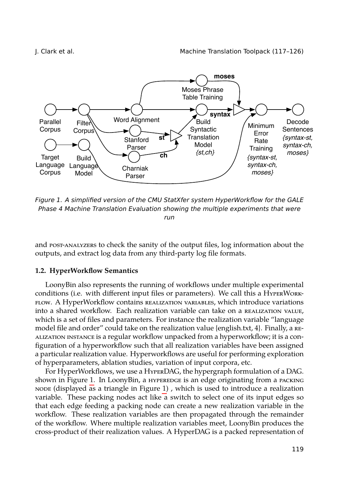<span id="page-2-0"></span>

*Figure 1. A simplified version of the CMU StatXfer system HyperWorkflow for the GALE Phase 4 Machine Translation Evaluation showing the multiple experiments that were run*

and POST-ANALYZERS to check the sanity of the output files, log information about the outputs, and extract log data from any third-party log file formats.

# **1.2. HyperWorkflow Semantics**

LoonyBin also represents the running of workflows under multiple experimental conditions (i.e. with different input files or parameters). We call this a HYPERWORK-FLOW. A Hyper[Wor](#page-2-0)kflow contains REALIZATION VARIABLES, which introduce variations into a shared workflow. Each realizati[on](#page-2-0) variable can take on a REALIZATION VALUE, which is a set of files and parameters. For instance the realization variable "language model file and order" could take on the realization value {english.txt,  $4$ }. Finally, a  $n =$ ALIZATION INSTANCE is a regular workflow unpacked from a hyperworkflow; it is a configuration of a hyperworkflow such that all realization variables have been assigned a particular realization value. Hyperworkflows are useful for performing exploration of hyperparameters, ablation studies, variation of input corpora, etc.

For HyperWorkflows, we use a HYPERDAG, the hypergraph formulation of a DAG. shown in Figure 1. In LoonyBin, a *HYPEREDGE* is an edge originating from a *PACKING*  (displayed as a triangle in Figure 1) , which is used to introduce a realization variable. These packing nodes act like a switch to select one of its input edges so that each edge feeding a packing node can create a new realization variable in the workflow. These realization variables are then propagated through the remainder of the workflow. Where multiple realization variables meet, LoonyBin produces the cross-product of their realization values. A HyperDAG is a packed representation of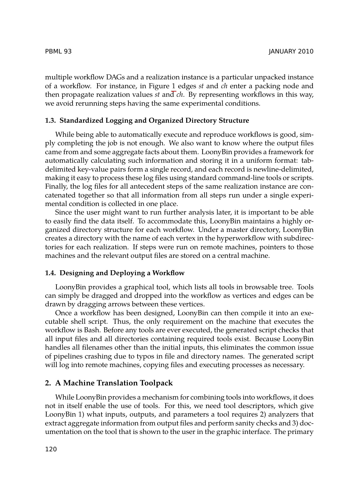<span id="page-3-0"></span>multiple workflow DAGs and a realization instance is a particular unpacked instance of a workflow. For instance, in Figure 1 edges *st* and *ch* enter a packing node and then propagate realization values *st* and *ch*. By representing workflows in this way, we avoid rerunning steps having the same experimental conditions.

# **1.3. Standardized Logging and Organized Directory Structure**

While being able to automatically execute and reproduce workflows is good, simply completing the job is not enough. We also want to know where the output files came from and some aggregate facts about them. LoonyBin provides a framework for automatically calculating such information and storing it in a uniform format: tabdelimited key-value pairs form a single record, and each record is newline-delimited, making it easy to process these log files using standard command-line tools or scripts. Finally, the log files for all antecedent steps of the same realization instance are concatenated together so that all information from all steps run under a single experimental condition is collected in one place.

Since the user might want to run further analysis later, it is important to be able to easily find the data itself. To accommodate this, LoonyBin maintains a highly organized directory structure for each workflow. Under a master directory, LoonyBin creates a directory with the name of each vertex in the hyperworkflow with subdirectories for each realization. If steps were run on remote machines, pointers to those machines and the relevant output files are stored on a central machine.

#### **1.4. Designing and Deploying a Workflow**

LoonyBin provides a graphical tool, which lists all tools in browsable tree. Tools can simply be dragged and dropped into the workflow as vertices and edges can be drawn by dragging arrows between these vertices.

Once a workflow has been designed, LoonyBin can then compile it into an executable shell script. Thus, the only requirement on the machine that executes the workflow is Bash. Before any tools are ever executed, the generated script checks that all input files and all directories containing required tools exist. Because LoonyBin handles all filenames other than the initial inputs, this eliminates the common issue of pipelines crashing due to typos in file and directory names. The generated script will log into remote machines, copying files and executing processes as necessary.

## **2. A Machine Translation Toolpack**

While LoonyBin provides a mechanism for combining tools into workflows, it does not in itself enable the use of tools. For this, we need tool descriptors, which give LoonyBin 1) what inputs, outputs, and parameters a tool requires 2) analyzers that extract aggregate information from output files and perform sanity checks and 3) documentation on the tool that is shown to the user in the graphic interface. The primary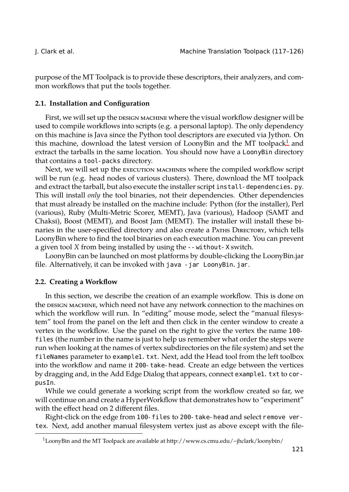<span id="page-4-0"></span>

purpose of the MT Toolpack is to provide these descriptors, their analyzers, and common workflows that put the tools together.

#### **2.1. Installation and Configuration**

First, we will set up the DESIGN MACHINE where the visual workflow designer will be used to compile workflows into scripts (e.g. a personal laptop). The only dependency on this machine is Java since the Python tool descriptors are executed via Jython. On this machine, download the latest version of LoonyBin and the MT toolpack<sup>1</sup> and extract the tarballs in the same location. You should now have a LoonyBin directory that contains a tool-packs directory.

Next, we will set up the EXECUTION MACHINES where the compiled workflow script will be run (e.g. head nodes of various clusters). There, download the MT toolpack and extract the tarball, but also execute the installer script install-dependencies. py. This will install *only* the tool binaries, not their dependencies. Other dependencies that must already be installed on the machine include: Python (for the installer), Perl (various), Ruby (Multi-Metric Scorer, MEMT), Java (various), Hadoop (SAMT and Chaksi), Boost (MEMT), and Boost Jam (MEMT). The installer will install these binaries in the user-specified directory and also create a PATHS DIRECTORY, which tells LoonyBin where to find the tool binaries on each execution machine. You can prevent a given tool *X* from being installed by using the --without-X switch.

LoonyBin can be launched on most platforms by double-clicking the LoonyBin.jar file. Alternatively, it can be invoked with java - jar LoonyBin. jar.

#### **2.2. Creating a Workflow**

In this section, we describe the creation of an example workflow. This is done on the DESIGN MACHINE, which need not have any network connection to the machines on which the workflow will run. In "editing" mouse mode, select the "manual filesystem" tool from the panel on the left and then click in the center window to create a vertex in the workflow. Use the panel on the right to give the vertex the name 100 files (the number in the name is just to help us remember what order the steps were run when looking at the names of vertex subdirectories on the file system) and set the fileNames parameter to example1. txt. Next, add the Head tool from the left toolbox into the workflow and name it 200-take-head. Create an edge between the vertices by dragging and, in the Add Edge Dialog that appears, connect example1. txt to corpusIn.

While we could generate a working script from the workflow created so far, we will continue on and create a HyperWorkflow that demonstrates how to "experiment" with the effect head on 2 different files.

Right-click on the edge from 100-files to 200-take-head and select remove vertex. Next, add another manual filesystem vertex just as above except with the file-

 $1$ LoonyBin and the MT Toolpack are available at http://www.cs.cmu.edu/~jhclark/loonybin/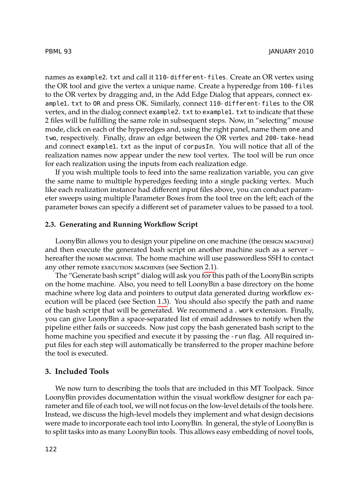names as example2. txt and call it 110-different-files. Create an OR vertex using the OR tool and give the vertex a unique name. Create a hyperedge from 100-files to the OR vertex by dragging and, in the Add Edge Dialog that appears, connect example1. txt to OR and press OK. Similarly, connect 110-different-files to the OR vertex, and in the dialog connect example2. txt to example1. txt to indicate that these 2 files will be fulfilling the same role in subsequent steps. Now, in "selecting" mouse mode, click on each of the hyperedges and, using the right panel, name them one and two, respectively. Finally, draw an edge between the OR vertex and 200-take-head and connect example1. txt as the input of corpusIn. You will notice that all of the realization names now appear under the new tool vertex. The tool will be run once for each realization using the inputs from each realization edge.

If you wish multiple tools to feed into the same realization variable, you can give the same name to multiple hyperedges feeding i[nto a](#page-4-0) single packing vertex. Much like each realization instance had different input files above, you can conduct parameter sweeps using multiple Parameter Boxes from the tool tree on the left; each of the parameter boxes can specify a different set of parameter values to be passed to a tool.

## **2.3. Generating and Running Wo[rkflo](#page-3-0)w Script**

LoonyBin allows you to design your pipeline on one machine (the DESIGN MACHINE) and then execute the generated bash script on another machine such as a server – hereafter the HOME MACHINE. The home machine will use passwordless SSH to contact any other remote EXECUTION MACHINES (see Section 2.1).

<span id="page-5-0"></span>The "Generate bash script" dialog will ask you for this path of the LoonyBin scripts on the home machine. Also, you need to tell LoonyBin a base directory on the home machine where log data and pointers to output data generated during workflow execution will be placed (see Section 1.3). You should also specify the path and name of the bash script that will be generated. We recommend a . work extension. Finally, you can give LoonyBin a space-separated list of email addresses to notify when the pipeline either fails or succeeds. Now just copy the bash generated bash script to the home machine you specified and execute it by passing the -run flag. All required input files for each step will automatically be transferred to the proper machine before the tool is executed.

# **3. Included Tools**

We now turn to describing the tools that are included in this MT Toolpack. Since LoonyBin provides documentation within the visual workflow designer for each parameter and file of each tool, we will not focus on the low-level details of the tools here. Instead, we discuss the high-level models they implement and what design decisions were made to incorporate each tool into LoonyBin. In general, the style of LoonyBin is to split tasks into as many LoonyBin tools. This allows easy embedding of novel tools,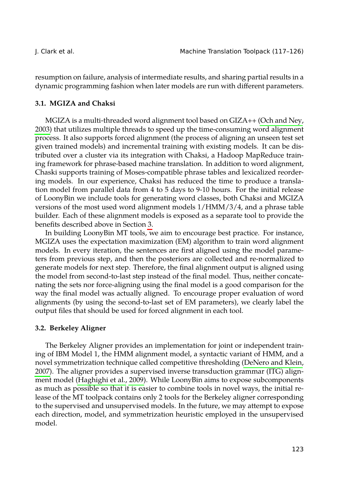resumption on failure, analysis of intermediate results, and sharing partial results in a dynamic programming fashion when later models are run with different parameters.

#### **3.1. MGIZA and Chaksi**

MGIZA is a multi-threaded word alignment tool based on GIZA++ (Och and Ney, 2003) that utilizes multiple threads to speed up the time-consuming word alignment process. It also supports forced alignment (the process of aligning an unseen test set given trained models) and increm[ent](#page-5-0)al training with existing models. It can be distributed over a cluster via its integration with Chaksi, a Hadoop MapReduce training framework for phrase-based machine translation. In addition to word alignment, Chaski supports training of Moses-compatible phrase tables and lexicalized reordering models. In our experience, Chaksi has reduced the time to produce a translation model from parallel data from 4 to 5 days to 9-10 hours. For the initial release of LoonyBin we include tools for generating word classes, both Chaksi and MGIZA versions of the most used word alignment models 1/HMM/3/4, and a phrase table builder. Each of these alignment models is exposed as a separate tool to provide the benefits described above in Section 3.

In building LoonyBin MT tools, we aim to encourage best practice. For instance, MGIZA uses the expectation maximization (EM) algorithm to train word alignment models. In every iteration, the sentences are first aligned using the model parameters from previous step, and then the posteriors are collected and re-normalized to generate models for next step. Therefore, the final alignment output is aligned using the model from second-to-last step instead of the final model. Thus, neither concatenating the sets nor force-aligning using the final model is a good [comparison for the](#page-9-2) [way](#page-9-2) the final model was actually aligned. To encourage proper evaluation of word alignments ([by using the second-t](#page-9-3)o-last set of EM parameters), we clearly label the output files that should be used for forced alignment in each tool.

# **3.2. Berkeley Aligner**

The Berkeley Aligner provides an implementation for joint or independent training of IBM Model 1, the HMM alignment model, a syntactic variant of HMM, and a novel symmetrization technique called competitive thresholding (DeNero and Klein, 2007). The aligner provides a supervised inverse transduction grammar (ITG) alignment model (Haghighi et al., 2009). While LoonyBin aims to expose subcomponents as much as possible so that it is easier to combine tools in novel ways, the initial release of the MT toolpack contains only 2 tools for the Berkeley aligner corresponding to the supervised and unsupervised models. In the future, we may attempt to expose each direction, model, and symmetrization heuristic employed in the unsupervised model.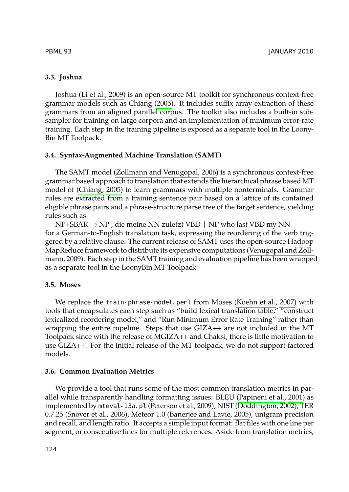# **3.3. Joshua**

Joshua (Li et al., 2[009\) is an open-source MT](#page-9-4) [toolki](#page-9-4)t for synchronous context-free grammar models such as Chiang (2005). It includes suffix array extraction of these grammars [from an align](#page-9-5)ed parallel corpus. The toolkit also includes a built-in subsampler for training on large corpora and an implementation of minimum error-rate training. Each step in the training pipeline is exposed as a separate tool in the Loony-Bin MT Toolpack.

#### **3.4. Syntax-Augmented Machine Translation (SAMT)**

The SAMT model (Zollmann and Venugopal, 2006) is a sync[hronous context-free](#page-9-6) [grammar ba](#page-9-6)sed approach to translation that extends the hierarchical phrase based MT model of (Chiang, 2005) to learn grammars with multiple nonterminals. Grammar rules are extracted from a training sentence pair based on a lattice of its contained eligible phrase pairs and a phrase-structure parse tree of the target sentence, yielding rules such as

NP+SBAR <sup>→</sup> NP , die meine NN zuletzt VBD | NP who [last VBD my NN](#page-9-7) for a German-to-English translation task, expressing the reordering of the verb triggered by a relative clause. The current release of SAMT uses the open-source Hadoop MapReduce framework to distribute its expensive computations (Venugopal and Zollmann, 2009). Each step in the SAMT training and evaluation pipeline has been wrapped as a separate tool in the LoonyBin MT Toolpack.

# **3.5. Moses**

We replace the train-phrase-model.perl from Moses (Koehn et al., 2007) with tools that encapsulates each step such as "build lexical translation table," "construct lexicalized reordering model," and "Run Minimum Error Ra[te Training" rather th](#page-9-8)an wrapping the entire pipeline. S[teps that use GIZA](#page-9-9)++ are [not included in th](#page-9-10)e MT Toolp[ack since with the re](#page-9-11)lease of MG[IZA++ and Chaksi, there i](#page-9-12)s little motivation to use GIZA++. For the initial release of the MT toolpack, we do not support factored models.

# **3.6. Common Evaluation Metrics**

We provide a tool that runs some of the most common translation metrics in parallel while transparently handling formatting issues: BLEU (Papineni et al., 2001) as implemented by mteval-13a.pl (Peterson et al., 2009), NIST (Doddington, 2002), TER 0.7.25 (Snover et al., 2006), Meteor 1.0 (Banerjee and Lavie, 2005), unigram precision and recall, and length ratio. It accepts a simple input format: flat files with one line per segment, or consecutive lines for multiple references. Aside from translation metrics,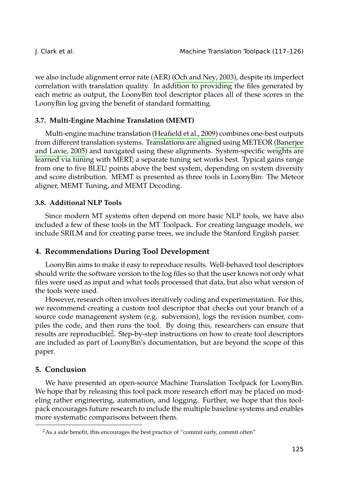[we also include](#page-9-12) alignment error rate (AER) (Och and Ney, 2003), despite its imperfect correlation with translation quality. In addition to providing the files generated by each metric as output, the LoonyBin tool descriptor places all of these scores in the LoonyBin log giving the benefit of standard formatting.

#### **3.7. Multi-Engine Machine Translation (MEMT)**

Multi-engine machine translation (Heafield et al., 2009) combines one-best outputs from different translation systems. Translations are aligned using METEOR (Banerjee and Lavie, 2005) and navigated using these alignments. System-specific weights are learned via tuning with MERT; a separate tuning set works best. Typical gains range from one to five BLEU points above the best system, depending on system diversity and score distribution. MEMT is presented as three tools in LoonyBin: The Meteor aligner, MEMT Tuning, and MEMT Decoding.

# **3.8. Additional NLP Tools**

Since modern MT systems often depend on more basic NLP tools, we have also included a few of these tools in the MT Toolpack. For creating language models, we include SRILM and for creating parse trees, we include the Stanford English parser.

# **4. Recommendation[s D](#page-8-0)uring Tool Development**

LoonyBin aims to make it easy to reproduce results. Well-behaved tool descriptors should write the software version to the log files so that the user knows not only what files were used as input and what tools processed that data, but also what version of the tools were used.

However, research often involves iteratively coding and experimentation. For this, we recommend creating a custom tool descriptor that checks out your branch of a source code management system (e.g. subversion), logs the revision number, compiles the code, and then runs the tool. By doing this, researchers can ensure that results are reproducible<sup>2</sup>. Step-by-step instructions on how to create tool descriptors are included as part of LoonyBin's documentation, but are beyond the scope of this paper.

#### <span id="page-8-0"></span>**5. Conclusion**

We have presented an open-source Machine Translation Toolpack for LoonyBin. We hope that by releasing this tool pack more research effort may be placed on modeling rather engineering, automation, and logging. Further, we hope that this toolpack encourages future research to include the multiple baseline systems and enables more systematic comparisons between them.

<sup>&</sup>lt;sup>2</sup>As a side benefit, this encourages the best practice of "commit early, commit often"